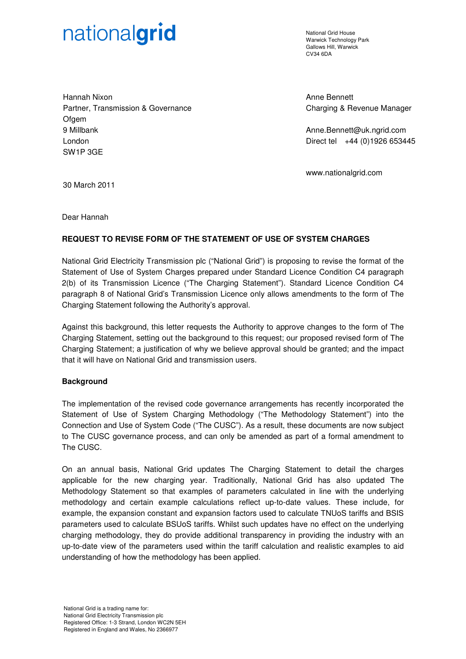# nationalgrid

National Grid House Warwick Technology Park Gallows Hill, Warwick CV34 6DA

Hannah Nixon Partner, Transmission & Governance **Ofgem** 9 Millbank London SW1P 3GE

Anne Bennett Charging & Revenue Manager

Anne.Bennett@uk.ngrid.com Direct tel +44 (0)1926 653445

www.nationalgrid.com

30 March 2011

Dear Hannah

# **REQUEST TO REVISE FORM OF THE STATEMENT OF USE OF SYSTEM CHARGES**

National Grid Electricity Transmission plc ("National Grid") is proposing to revise the format of the Statement of Use of System Charges prepared under Standard Licence Condition C4 paragraph 2(b) of its Transmission Licence ("The Charging Statement"). Standard Licence Condition C4 paragraph 8 of National Grid's Transmission Licence only allows amendments to the form of The Charging Statement following the Authority's approval.

Against this background, this letter requests the Authority to approve changes to the form of The Charging Statement, setting out the background to this request; our proposed revised form of The Charging Statement; a justification of why we believe approval should be granted; and the impact that it will have on National Grid and transmission users.

## **Background**

The implementation of the revised code governance arrangements has recently incorporated the Statement of Use of System Charging Methodology ("The Methodology Statement") into the Connection and Use of System Code ("The CUSC"). As a result, these documents are now subject to The CUSC governance process, and can only be amended as part of a formal amendment to The CUSC.

On an annual basis, National Grid updates The Charging Statement to detail the charges applicable for the new charging year. Traditionally, National Grid has also updated The Methodology Statement so that examples of parameters calculated in line with the underlying methodology and certain example calculations reflect up-to-date values. These include, for example, the expansion constant and expansion factors used to calculate TNUoS tariffs and BSIS parameters used to calculate BSUoS tariffs. Whilst such updates have no effect on the underlying charging methodology, they do provide additional transparency in providing the industry with an up-to-date view of the parameters used within the tariff calculation and realistic examples to aid understanding of how the methodology has been applied.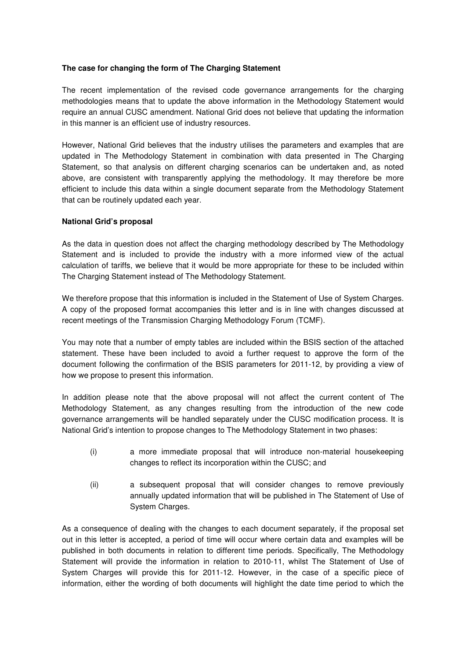# **The case for changing the form of The Charging Statement**

The recent implementation of the revised code governance arrangements for the charging methodologies means that to update the above information in the Methodology Statement would require an annual CUSC amendment. National Grid does not believe that updating the information in this manner is an efficient use of industry resources.

However, National Grid believes that the industry utilises the parameters and examples that are updated in The Methodology Statement in combination with data presented in The Charging Statement, so that analysis on different charging scenarios can be undertaken and, as noted above, are consistent with transparently applying the methodology. It may therefore be more efficient to include this data within a single document separate from the Methodology Statement that can be routinely updated each year.

## **National Grid's proposal**

As the data in question does not affect the charging methodology described by The Methodology Statement and is included to provide the industry with a more informed view of the actual calculation of tariffs, we believe that it would be more appropriate for these to be included within The Charging Statement instead of The Methodology Statement.

We therefore propose that this information is included in the Statement of Use of System Charges. A copy of the proposed format accompanies this letter and is in line with changes discussed at recent meetings of the Transmission Charging Methodology Forum (TCMF).

You may note that a number of empty tables are included within the BSIS section of the attached statement. These have been included to avoid a further request to approve the form of the document following the confirmation of the BSIS parameters for 2011-12, by providing a view of how we propose to present this information.

In addition please note that the above proposal will not affect the current content of The Methodology Statement, as any changes resulting from the introduction of the new code governance arrangements will be handled separately under the CUSC modification process. It is National Grid's intention to propose changes to The Methodology Statement in two phases:

- (i) a more immediate proposal that will introduce non-material housekeeping changes to reflect its incorporation within the CUSC; and
- (ii) a subsequent proposal that will consider changes to remove previously annually updated information that will be published in The Statement of Use of System Charges.

As a consequence of dealing with the changes to each document separately, if the proposal set out in this letter is accepted, a period of time will occur where certain data and examples will be published in both documents in relation to different time periods. Specifically, The Methodology Statement will provide the information in relation to 2010-11, whilst The Statement of Use of System Charges will provide this for 2011-12. However, in the case of a specific piece of information, either the wording of both documents will highlight the date time period to which the